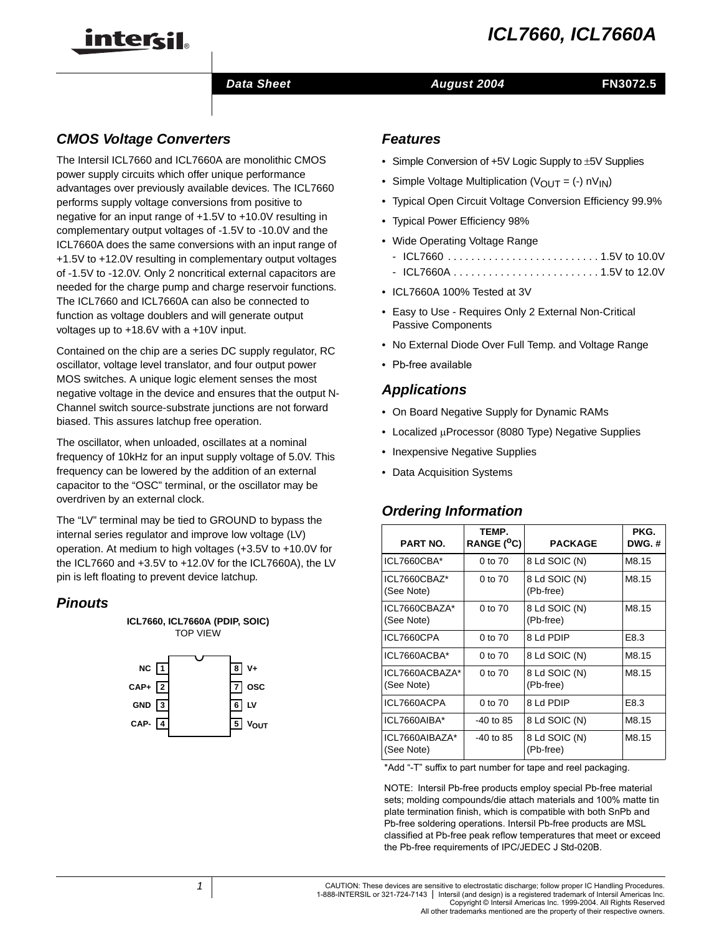# **ICL7660, ICL7660A**



## **Data Sheet August 2004**

## **CMOS Voltage Converters**

The Intersil ICL7660 and ICL7660A are monolithic CMOS power supply circuits which offer unique performance advantages over previously available devices. The ICL7660 performs supply voltage conversions from positive to negative for an input range of +1.5V to +10.0V resulting in complementary output voltages of -1.5V to -10.0V and the ICL7660A does the same conversions with an input range of +1.5V to +12.0V resulting in complementary output voltages of -1.5V to -12.0V. Only 2 noncritical external capacitors are needed for the charge pump and charge reservoir functions. The ICL7660 and ICL7660A can also be connected to function as voltage doublers and will generate output voltages up to +18.6V with a +10V input.

Contained on the chip are a series DC supply regulator, RC oscillator, voltage level translator, and four output power MOS switches. A unique logic element senses the most negative voltage in the device and ensures that the output N-Channel switch source-substrate junctions are not forward biased. This assures latchup free operation.

The oscillator, when unloaded, oscillates at a nominal frequency of 10kHz for an input supply voltage of 5.0V. This frequency can be lowered by the addition of an external capacitor to the "OSC" terminal, or the oscillator may be overdriven by an external clock.

The "LV" terminal may be tied to GROUND to bypass the internal series regulator and improve low voltage (LV) operation. At medium to high voltages (+3.5V to +10.0V for the ICL7660 and +3.5V to +12.0V for the ICL7660A), the LV pin is left floating to prevent device latchup.

## **Pinouts**



## **Features**

- Simple Conversion of  $+5V$  Logic Supply to  $\pm 5V$  Supplies
- Simple Voltage Multiplication ( $V_{\text{OUT}} = (-1)$  nV<sub>IN</sub>)
- Typical Open Circuit Voltage Conversion Efficiency 99.9%
- Typical Power Efficiency 98%
- Wide Operating Voltage Range
	- ICL7660 . . . . . . . . . . . . . . . . . . . . . . . . . . 1.5V to 10.0V
	- ICL7660A . . . . . . . . . . . . . . . . . . . . . . . . . 1.5V to 12.0V
- ICL7660A 100% Tested at 3V
- Easy to Use Requires Only 2 External Non-Critical Passive Components
- No External Diode Over Full Temp. and Voltage Range
- Pb-free available

## **Applications**

- On Board Negative Supply for Dynamic RAMs
- Localized µProcessor (8080 Type) Negative Supplies
- Inexpensive Negative Supplies
- Data Acquisition Systems

## **Ordering Information**

| <b>PART NO.</b>              | TEMP.<br>RANGE ( <sup>O</sup> C) | <b>PACKAGE</b>             | PKG.<br>DWG.# |
|------------------------------|----------------------------------|----------------------------|---------------|
| ICL7660CBA*                  | 0 to 70                          | 8 Ld SOIC (N)              | M8.15         |
| ICL7660CBAZ*<br>(See Note)   | $0$ to $70$                      | 8 Ld SOIC (N)<br>(Pb-free) | M8.15         |
| ICL7660CBAZA*<br>(See Note)  | 0 to 70                          | 8 Ld SOIC (N)<br>(Pb-free) | M8.15         |
| ICL7660CPA                   | $0$ to $70$                      | 8 Ld PDIP                  | E8.3          |
| ICL7660ACBA*                 | 0 to 70                          | 8 Ld SOIC (N)              | M8.15         |
| ICL7660ACBAZA*<br>(See Note) | 0 to 70                          | 8 Ld SOIC (N)<br>(Pb-free) | M8.15         |
| ICL7660ACPA                  | $0$ to $70$                      | 8 Ld PDIP                  | E8.3          |
| ICL7660AIBA*                 | $-40$ to 85                      | 8 Ld SOIC (N)              | M8.15         |
| ICL7660AIBAZA*<br>(See Note) | $-40$ to 85                      | 8 Ld SOIC (N)<br>(Pb-free) | M8.15         |

\*Add "-T" suffix to part number for tape and reel packaging.

NOTE: Intersil Pb-free products employ special Pb-free material sets; molding compounds/die attach materials and 100% matte tin plate termination finish, which is compatible with both SnPb and Pb-free soldering operations. Intersil Pb-free products are MSL classified at Pb-free peak reflow temperatures that meet or exceed the Pb-free requirements of IPC/JEDEC J Std-020B.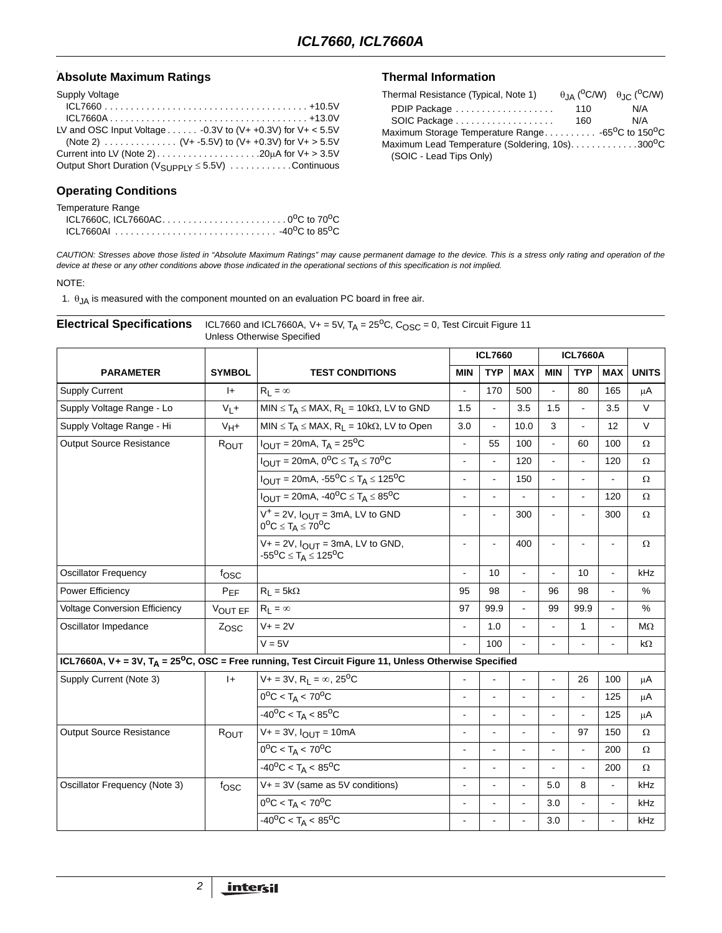## **Absolute Maximum Ratings the Control of the Control of Thermal Information**

| Supply Voltage                                                                              |
|---------------------------------------------------------------------------------------------|
|                                                                                             |
|                                                                                             |
| LV and OSC Input Voltage $\ldots \ldots$ -0.3V to (V+ +0.3V) for V+ < 5.5V                  |
|                                                                                             |
| Current into LV (Note 2) $\dots \dots \dots \dots \dots \dots \dots 20\mu$ for $V + > 3.5V$ |
|                                                                                             |

## **Operating Conditions**

| Temperature Range                                        |  |
|----------------------------------------------------------|--|
| ICL7660C, ICL7660AC0 <sup>o</sup> C to 70 <sup>o</sup> C |  |
|                                                          |  |

| Thermal Resistance (Typical, Note 1)                                       |     | $\theta$ IA ( <sup>O</sup> C/W) $\theta$ IC ( <sup>O</sup> C/W) |  |  |  |  |
|----------------------------------------------------------------------------|-----|-----------------------------------------------------------------|--|--|--|--|
| PDIP Package                                                               | 110 | N/A                                                             |  |  |  |  |
|                                                                            | 160 | N/A                                                             |  |  |  |  |
| Maximum Storage Temperature Range -65 <sup>o</sup> C to 150 <sup>o</sup> C |     |                                                                 |  |  |  |  |
| Maximum Lead Temperature (Soldering, 10s)300°C                             |     |                                                                 |  |  |  |  |
| (SOIC - Lead Tips Only)                                                    |     |                                                                 |  |  |  |  |

CAUTION: Stresses above those listed in "Absolute Maximum Ratings" may cause permanent damage to the device. This is a stress only rating and operation of the device at these or any other conditions above those indicated in the operational sections of this specification is not implied.

#### NOTE:

1.  $\theta_{JA}$  is measured with the component mounted on an evaluation PC board in free air.

| <b>Electrical Specifications</b> |               | ICL7660 and ICL7660A, V+ = 5V, $T_A$ = 25 <sup>o</sup> C, C <sub>OSC</sub> = 0, Test Circuit Figure 11<br><b>Unless Otherwise Specified</b> |                          |                |                |                |                          |                |              |
|----------------------------------|---------------|---------------------------------------------------------------------------------------------------------------------------------------------|--------------------------|----------------|----------------|----------------|--------------------------|----------------|--------------|
| <b>PARAMETER</b>                 |               | <b>TEST CONDITIONS</b>                                                                                                                      |                          | <b>ICL7660</b> |                |                | <b>ICL7660A</b>          |                |              |
|                                  | <b>SYMBOL</b> |                                                                                                                                             | <b>MIN</b>               | <b>TYP</b>     | <b>MAX</b>     | <b>MIN</b>     | <b>TYP</b>               | <b>MAX</b>     | <b>UNITS</b> |
| <b>Supply Current</b>            | I+            | $R_1 = \infty$                                                                                                                              | $\blacksquare$           | 170            | 500            |                | 80                       | 165            | μA           |
| Supply Voltage Range - Lo        | $V_L +$       | $MIN \leq T_A \leq MAX$ , R <sub>L</sub> = 10k $\Omega$ , LV to GND                                                                         | 1.5                      | $\blacksquare$ | 3.5            | 1.5            | $\overline{\phantom{a}}$ | 3.5            | $\vee$       |
| Supply Voltage Range - Hi        | $V_H+$        | $MIN \leq T_A \leq MAX$ , $R_L = 10k\Omega$ , LV to Open                                                                                    | 3.0                      |                | 10.0           | 3              | $\overline{a}$           | 12             | $\vee$       |
| <b>Output Source Resistance</b>  | ROUT          | $I_{\text{OUT}} = 20 \text{mA}, T_{\text{A}} = 25 \text{°C}$                                                                                | $\blacksquare$           | 55             | 100            | $\blacksquare$ | 60                       | 100            | $\Omega$     |
|                                  |               | $I_{\text{OUT}} = 20 \text{mA}, 0^{\circ}\text{C} \leq T_A \leq 70^{\circ}\text{C}$                                                         | $\blacksquare$           |                | 120            |                |                          | 120            | Ω            |
|                                  |               | $I_{OUT} = 20mA, -55^{\circ}C \leq T_A \leq 125^{\circ}C$                                                                                   | $\blacksquare$           | ÷.             | 150            | L.             | $\overline{a}$           |                | Ω            |
|                                  |               | $I_{\text{OUT}} = 20 \text{mA}, -40^{\circ}\text{C} \leq T_A \leq 85^{\circ}\text{C}$                                                       | $\blacksquare$           |                |                | L.             | $\overline{a}$           | 120            | Ω            |
|                                  |               | $V^+$ = 2V, $I_{\text{OUT}}$ = 3mA, LV to GND<br>$0^{\circ}C \leq T_A \leq 70^{\circ}C$                                                     |                          |                | 300            |                |                          | 300            | Ω            |
|                                  |               | $V_+ = 2V$ , $I_{OUT} = 3mA$ , LV to GND,<br>$-55^{\circ}C \leq T_A \leq 125^{\circ}C$                                                      | $\ddot{\phantom{a}}$     |                | 400            | $\overline{a}$ |                          | L              | Ω            |
| <b>Oscillator Frequency</b>      | fosc          |                                                                                                                                             | $\overline{\phantom{a}}$ | 10             | ÷,             | $\overline{a}$ | 10                       | $\blacksquare$ | kHz          |
| Power Efficiency                 | $P_{EF}$      | $R_L = 5k\Omega$                                                                                                                            | 95                       | 98             | $\blacksquare$ | 96             | 98                       | $\blacksquare$ | %            |
| Voltage Conversion Efficiency    | VOUT EF       | $R_1 = \infty$                                                                                                                              | 97                       | 99.9           | $\blacksquare$ | 99             | 99.9                     | $\blacksquare$ | %            |
| Oscillator Impedance             | Zosc          | $V + 2V$                                                                                                                                    | $\blacksquare$           | 1.0            |                |                | 1                        | $\overline{a}$ | MΩ           |
|                                  |               | $V = 5V$                                                                                                                                    | $\mathbf{r}$             | 100            |                |                |                          | $\overline{a}$ | kΩ           |
|                                  |               | ICL7660A, V + = 3V, T <sub>A</sub> = 25 <sup>o</sup> C, OSC = Free running, Test Circuit Figure 11, Unless Otherwise Specified              |                          |                |                |                |                          |                |              |
| Supply Current (Note 3)          | $ +$          | $V + = 3V$ , $R_L = \infty$ , 25 <sup>o</sup> C                                                                                             | $\overline{a}$           |                |                |                | 26                       | 100            | $\mu$ A      |
|                                  |               | $0^{\circ}$ C < T <sub>A</sub> < 70 <sup>o</sup> C                                                                                          | $\blacksquare$           |                |                |                |                          | 125            | μA           |
|                                  |               | $-40^{\circ}$ C < T <sub>A</sub> < 85 <sup>o</sup> C                                                                                        | $\blacksquare$           |                |                |                | $\overline{a}$           | 125            | μA           |
| <b>Output Source Resistance</b>  | ROUT          | $V + = 3V$ , $I_{OUT} = 10mA$                                                                                                               | $\blacksquare$           |                |                | $\overline{a}$ | 97                       | 150            | $\Omega$     |
|                                  |               | $0^{\circ}$ C < T <sub>A</sub> < 70 <sup>o</sup> C                                                                                          | $\blacksquare$           |                |                | ä,             | $\blacksquare$           | 200            | Ω            |
|                                  |               | $-40^{\circ}$ C < T <sub>A</sub> < 85 <sup>o</sup> C                                                                                        | L,                       |                |                |                |                          | 200            | Ω            |
| Oscillator Frequency (Note 3)    | fosc          | $V + = 3V$ (same as 5V conditions)                                                                                                          | $\blacksquare$           |                |                | 5.0            | 8                        | $\blacksquare$ | kHz          |
|                                  |               | $0^{\circ}$ C < T <sub>A</sub> < 70 <sup>o</sup> C                                                                                          | $\blacksquare$           |                |                | 3.0            |                          | $\blacksquare$ | kHz          |
|                                  |               | $-40^{\circ}$ C < T <sub>A</sub> < 85 <sup>o</sup> C                                                                                        | $\blacksquare$           |                |                | 3.0            | $\ddot{\phantom{a}}$     | $\blacksquare$ | kHz          |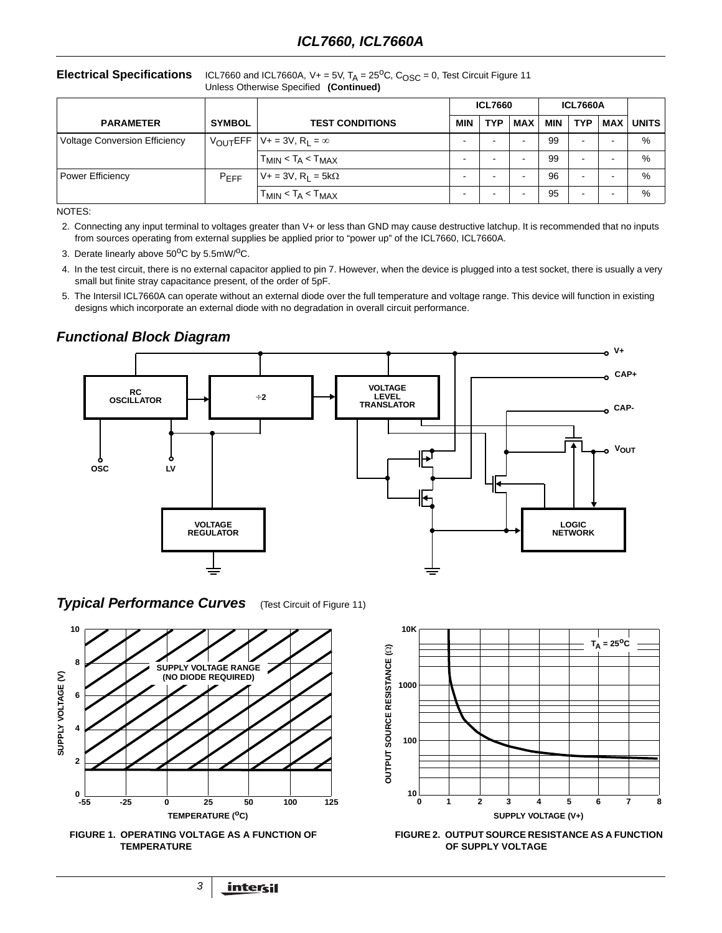**Electrical Specifications** ICL7660 and ICL7660A,  $V_+ = 5V$ ,  $T_A = 25^{\circ}C$ ,  $C_{\text{OSC}} = 0$ , Test Circuit Figure 11 Unless Otherwise Specified **(Continued)**

|                                      |                      |                                          | <b>ICL7660</b>           |            |            | <b>ICL7660A</b> |                          |                          |              |
|--------------------------------------|----------------------|------------------------------------------|--------------------------|------------|------------|-----------------|--------------------------|--------------------------|--------------|
| <b>PARAMETER</b>                     | <b>SYMBOL</b>        | <b>TEST CONDITIONS</b>                   | <b>MIN</b>               | <b>TYP</b> | <b>MAX</b> | MIN             | <b>TYP</b>               | <b>MAX</b>               | <b>UNITS</b> |
| <b>Voltage Conversion Efficiency</b> | $V_{\text{OUT}}$ EFF | $V_+ = 3V$ , $R_1 = \infty$              | $\overline{\phantom{0}}$ |            | -          | 99              | $\overline{\phantom{a}}$ | $\overline{\phantom{0}}$ | %            |
|                                      |                      | $T_{MIN}$ < $T_A$ < $T_{MAX}$            | -                        |            | -          | 99              | $\overline{\phantom{a}}$ | -                        | %            |
| <b>Power Efficiency</b>              | $P_{EFF}$            | $V+ = 3V$ , R <sub>I</sub> = 5k $\Omega$ | -                        |            |            | 96              | $\overline{\phantom{a}}$ | ۰                        | %            |
|                                      |                      | $T_{MIN}$ < $T_A$ < $T_{MAX}$            | -                        |            |            | 95              | $\overline{\phantom{a}}$ | $\overline{\phantom{0}}$ | %            |

NOTES:

- 2. Connecting any input terminal to voltages greater than V+ or less than GND may cause destructive latchup. It is recommended that no inputs from sources operating from external supplies be applied prior to "power up" of the ICL7660, ICL7660A.
- 3. Derate linearly above  $50^{\circ}$ C by  $5.5$ mW/ $^{\circ}$ C.
- 4. In the test circuit, there is no external capacitor applied to pin 7. However, when the device is plugged into a test socket, there is usually a very small but finite stray capacitance present, of the order of 5pF.
- 5. The Intersil ICL7660A can operate without an external diode over the full temperature and voltage range. This device will function in existing designs which incorporate an external diode with no degradation in overall circuit performance.



 $T_A = 25^{\circ}C$ 

## **Functional Block Diagram**

**Typical Performance Curves** (Test Circuit of Figure 11)

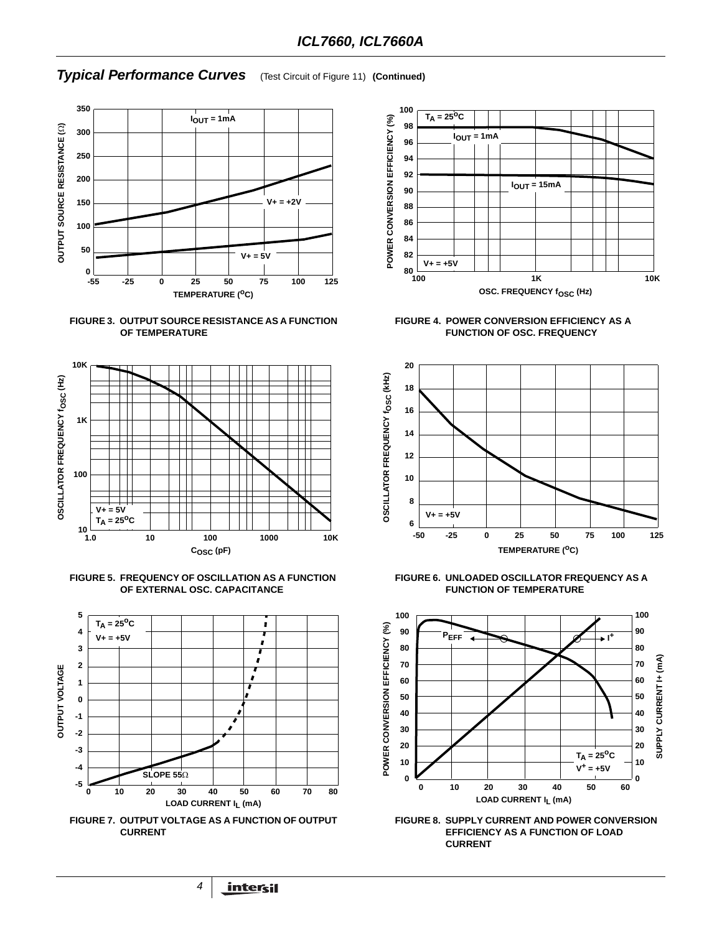## **Typical Performance Curves** (Test Circuit of Figure 11) **(Continued)**











**FIGURE 7. OUTPUT VOLTAGE AS A FUNCTION OF OUTPUT CURRENT**



**FIGURE 4. POWER CONVERSION EFFICIENCY AS A FUNCTION OF OSC. FREQUENCY**



**FIGURE 6. UNLOADED OSCILLATOR FREQUENCY AS A FUNCTION OF TEMPERATURE**



**FIGURE 8. SUPPLY CURRENT AND POWER CONVERSION EFFICIENCY AS A FUNCTION OF LOAD CURRENT**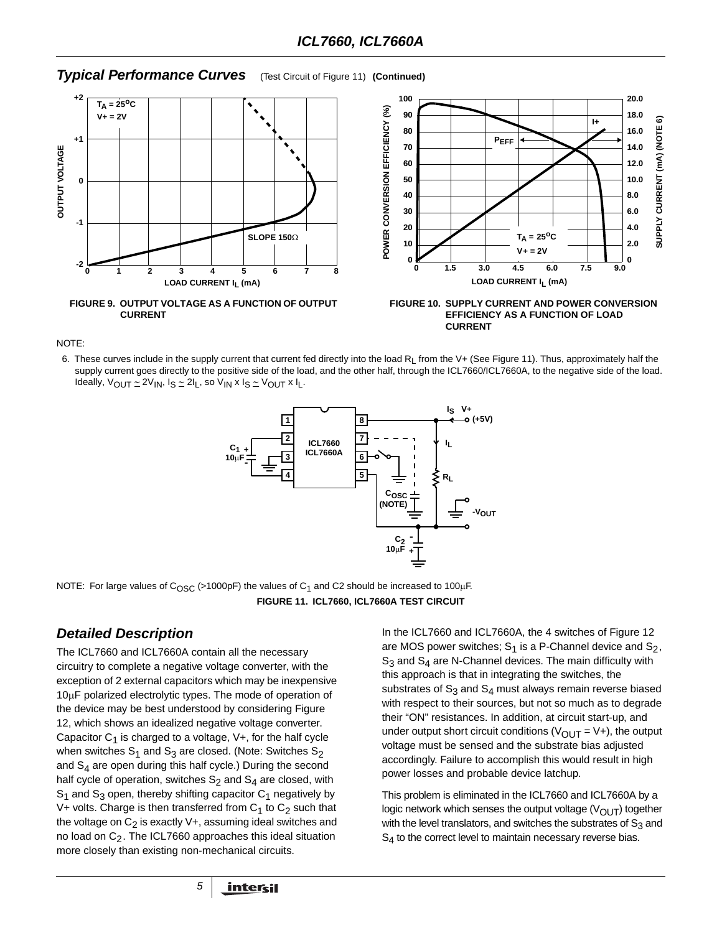## **Typical Performance Curves** (Test Circuit of Figure 11) **(Continued)**



NOTE:

6. These curves include in the supply current that current fed directly into the load  $R_L$  from the V+ (See Figure 11). Thus, approximately half the supply current goes directly to the positive side of the load, and the other half, through the ICL7660/ICL7660A, to the negative side of the load. Ideally, VOUT ∼ 2VIN, IS ∼ 2IL, so VIN x IS ∼ VOUT x IL.



NOTE: For large values of C<sub>OSC</sub> (>1000pF) the values of C<sub>1</sub> and C2 should be increased to 100µF. **FIGURE 11. ICL7660, ICL7660A TEST CIRCUIT**

## **Detailed Description**

The ICL7660 and ICL7660A contain all the necessary circuitry to complete a negative voltage converter, with the exception of 2 external capacitors which may be inexpensive 10µF polarized electrolytic types. The mode of operation of the device may be best understood by considering Figure 12, which shows an idealized negative voltage converter. Capacitor  $C_1$  is charged to a voltage,  $V+$ , for the half cycle when switches  $S_1$  and  $S_3$  are closed. (Note: Switches  $S_2$ and  $S_4$  are open during this half cycle.) During the second half cycle of operation, switches  $S_2$  and  $S_4$  are closed, with  $S_1$  and  $S_3$  open, thereby shifting capacitor  $C_1$  negatively by V+ volts. Charge is then transferred from  $C_1$  to  $C_2$  such that the voltage on  $C_2$  is exactly  $V+$ , assuming ideal switches and no load on  $C_2$ . The ICL7660 approaches this ideal situation more closely than existing non-mechanical circuits.

In the ICL7660 and ICL7660A, the 4 switches of Figure 12 are MOS power switches;  $S_1$  is a P-Channel device and  $S_2$ ,  $S_3$  and  $S_4$  are N-Channel devices. The main difficulty with this approach is that in integrating the switches, the substrates of  $S_3$  and  $S_4$  must always remain reverse biased with respect to their sources, but not so much as to degrade their "ON" resistances. In addition, at circuit start-up, and under output short circuit conditions ( $V_{\text{OUT}} = V+$ ), the output voltage must be sensed and the substrate bias adjusted accordingly. Failure to accomplish this would result in high power losses and probable device latchup.

This problem is eliminated in the ICL7660 and ICL7660A by a logic network which senses the output voltage  $(V_{\text{OUT}})$  together with the level translators, and switches the substrates of  $S_3$  and  $S_4$  to the correct level to maintain necessary reverse bias.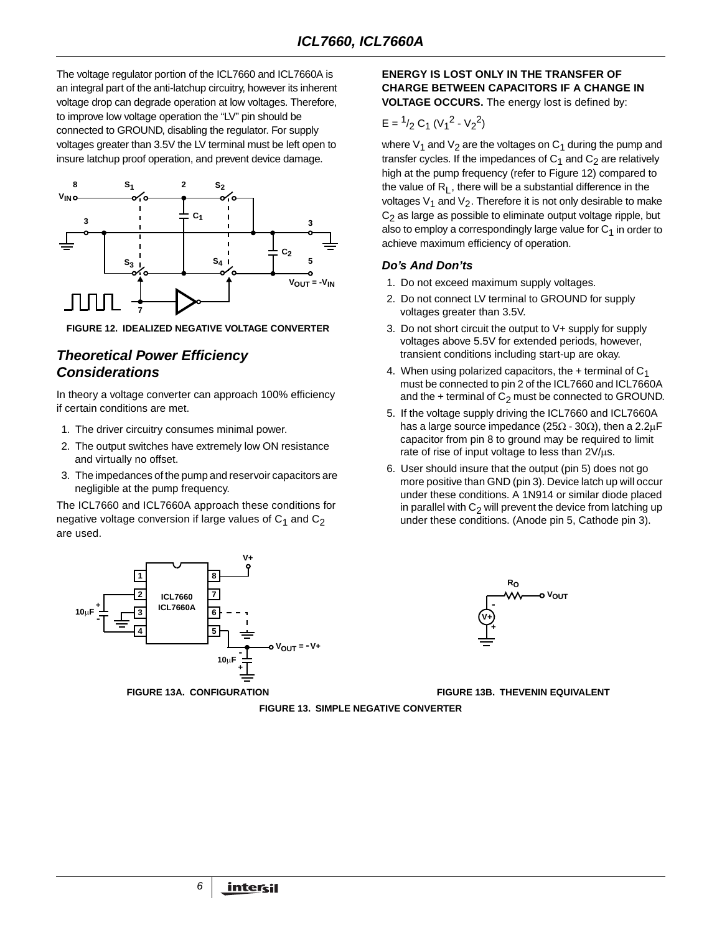The voltage regulator portion of the ICL7660 and ICL7660A is an integral part of the anti-latchup circuitry, however its inherent voltage drop can degrade operation at low voltages. Therefore, to improve low voltage operation the "LV" pin should be connected to GROUND, disabling the regulator. For supply voltages greater than 3.5V the LV terminal must be left open to insure latchup proof operation, and prevent device damage.



**FIGURE 12. IDEALIZED NEGATIVE VOLTAGE CONVERTER**

## **Theoretical Power Efficiency Considerations**

In theory a voltage converter can approach 100% efficiency if certain conditions are met.

- 1. The driver circuitry consumes minimal power.
- 2. The output switches have extremely low ON resistance and virtually no offset.
- 3. The impedances of the pump and reservoir capacitors are negligible at the pump frequency.

The ICL7660 and ICL7660A approach these conditions for negative voltage conversion if large values of  $C_1$  and  $C_2$ are used.



#### **ENERGY IS LOST ONLY IN THE TRANSFER OF CHARGE BETWEEN CAPACITORS IF A CHANGE IN VOLTAGE OCCURS.** The energy lost is defined by:

$$
E = \frac{1}{2} C_1 (V_1^2 - V_2^2)
$$

where  $V_1$  and  $V_2$  are the voltages on  $C_1$  during the pump and transfer cycles. If the impedances of  $C_1$  and  $C_2$  are relatively high at the pump frequency (refer to Figure 12) compared to the value of  $R_L$ , there will be a substantial difference in the voltages  $V_1$  and  $V_2$ . Therefore it is not only desirable to make  $C<sub>2</sub>$  as large as possible to eliminate output voltage ripple, but also to employ a correspondingly large value for  $C_1$  in order to achieve maximum efficiency of operation.

## **Do's And Don'ts**

- 1. Do not exceed maximum supply voltages.
- 2. Do not connect LV terminal to GROUND for supply voltages greater than 3.5V.
- 3. Do not short circuit the output to V+ supply for supply voltages above 5.5V for extended periods, however, transient conditions including start-up are okay.
- 4. When using polarized capacitors, the  $+$  terminal of  $C_1$ must be connected to pin 2 of the ICL7660 and ICL7660A and the  $+$  terminal of  $C_2$  must be connected to GROUND.
- 5. If the voltage supply driving the ICL7660 and ICL7660A has a large source impedance (25 $\Omega$  - 30 $\Omega$ ), then a 2.2µF capacitor from pin 8 to ground may be required to limit rate of rise of input voltage to less than 2V/µs.
- 6. User should insure that the output (pin 5) does not go more positive than GND (pin 3). Device latch up will occur under these conditions. A 1N914 or similar diode placed in parallel with  $C_2$  will prevent the device from latching up under these conditions. (Anode pin 5, Cathode pin 3).



**FIGURE 13A. CONFIGURATION FIGURE 13B. THEVENIN EQUIVALENT**

**FIGURE 13. SIMPLE NEGATIVE CONVERTER**

6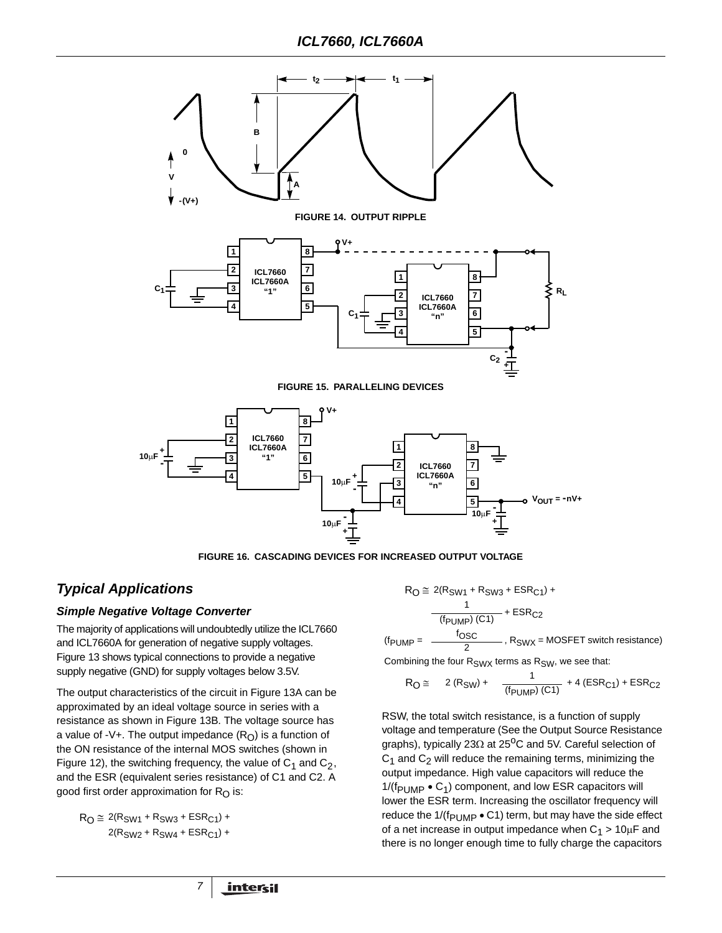

**FIGURE 16. CASCADING DEVICES FOR INCREASED OUTPUT VOLTAGE**

## **Typical Applications**

## **Simple Negative Voltage Converter**

The majority of applications will undoubtedly utilize the ICL7660 and ICL7660A for generation of negative supply voltages. Figure 13 shows typical connections to provide a negative supply negative (GND) for supply voltages below 3.5V.

The output characteristics of the circuit in Figure 13A can be approximated by an ideal voltage source in series with a resistance as shown in Figure 13B. The voltage source has a value of -V+. The output impedance  $(R<sub>O</sub>)$  is a function of the ON resistance of the internal MOS switches (shown in Figure 12), the switching frequency, the value of  $C_1$  and  $C_2$ , and the ESR (equivalent series resistance) of C1 and C2. A good first order approximation for  $R<sub>O</sub>$  is:

7

$$
R_O \cong 2(R_{SW1} + R_{SW3} + ESR_{C1}) +
$$
  
2(R<sub>SW2</sub> + R<sub>SW4</sub> + ESR<sub>C1</sub>) +

 $R_O \cong 2(R_{SW1} + R_{SW3} + ESR_{C1}) +$ 

$$
\frac{1}{(f_{\text{PUMP}})(C1)} + \text{ESR}_{C2}
$$
\n
$$
(f_{\text{PUMP}} = \frac{f_{\text{OSC}}}{2}, R_{\text{SWX}} = \text{MOSFET switch resistance})
$$

Combining the four  $R_{SWX}$  terms as  $R_{SW}$ , we see that:

$$
R_{\text{O}} \cong 2 (R_{\text{SW}}) + \frac{1}{(f_{\text{PUMP}}) (C1)} + 4 (ESR_{\text{C1}}) + ESR_{\text{C2}}
$$

RSW, the total switch resistance, is a function of supply voltage and temperature (See the Output Source Resistance graphs), typically 23Ω at 25<sup>o</sup>C and 5V. Careful selection of  $C_1$  and  $C_2$  will reduce the remaining terms, minimizing the output impedance. High value capacitors will reduce the  $1/(f_{\text{PUMP}} \cdot C_1)$  component, and low ESR capacitors will lower the ESR term. Increasing the oscillator frequency will reduce the  $1/(f_{\text{PUMP}} \cdot C1)$  term, but may have the side effect of a net increase in output impedance when  $C_1 > 10 \mu F$  and there is no longer enough time to fully charge the capacitors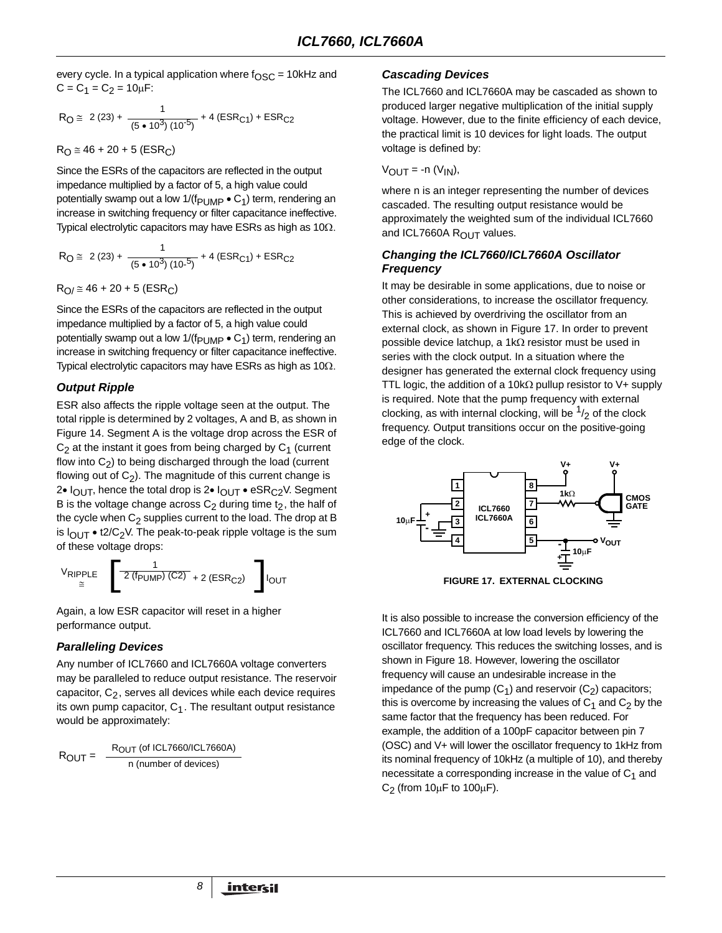every cycle. In a typical application where  $f_{\rm OSC}$  = 10kHz and  $C = C_1 = C_2 = 10 \mu F$ :

$$
R_{\text{O}} \cong 2 (23) + \frac{1}{(5 \cdot 10^3) (10^{-5})} + 4 (ESR_{\text{C1}}) + ESR_{\text{C2}}
$$

 $R_0 \approx 46 + 20 + 5$  (ESR<sub>C</sub>)

Since the ESRs of the capacitors are reflected in the output impedance multiplied by a factor of 5, a high value could potentially swamp out a low  $1/(f_{PI~IMP} \cdot C_1)$  term, rendering an increase in switching frequency or filter capacitance ineffective. Typical electrolytic capacitors may have ESRs as high as  $10\Omega$ .

$$
R_{\text{O}} \cong 2 (23) + \frac{1}{(5 \cdot 10^3) (10^{-5})} + 4 (ESR_{\text{C1}}) + ESR_{\text{C2}}
$$

$$
R_{O}/\cong 46+20+5\ (ESR_C)
$$

Since the ESRs of the capacitors are reflected in the output impedance multiplied by a factor of 5, a high value could potentially swamp out a low  $1/(f_{\text{PUMP}} \cdot C_1)$  term, rendering an increase in switching frequency or filter capacitance ineffective. Typical electrolytic capacitors may have ESRs as high as 10Ω.

## **Output Ripple**

ESR also affects the ripple voltage seen at the output. The total ripple is determined by 2 voltages, A and B, as shown in Figure 14. Segment A is the voltage drop across the ESR of  $C_2$  at the instant it goes from being charged by  $C_1$  (current flow into  $C_2$ ) to being discharged through the load (current flowing out of  $C_2$ ). The magnitude of this current change is 2•  $I_{\text{OUT}}$ , hence the total drop is 2•  $I_{\text{OUT}}$  • eSR<sub>C2</sub>V. Segment B is the voltage change across  $C_2$  during time  $t_2$ , the half of the cycle when  $C_2$  supplies current to the load. The drop at B is  $I_{\text{OUT}} \bullet 12/\text{C}_2$ V. The peak-to-peak ripple voltage is the sum of these voltage drops:

$$
V_{\text{RIPPLE}} \quad \left[ \frac{1}{2 \left( f_{\text{PUMP}} \right) \left( C2 \right)} + 2 \left( \text{ESR}_{C2} \right) \quad \right] I_{\text{OUT}}
$$

Again, a low ESR capacitor will reset in a higher performance output.

#### **Paralleling Devices**

Any number of ICL7660 and ICL7660A voltage converters may be paralleled to reduce output resistance. The reservoir capacitor,  $C_2$ , serves all devices while each device requires its own pump capacitor,  $C_1$ . The resultant output resistance would be approximately:

8

$$
R_{OUT} = \frac{R_{OUT} (of ICL7660/ICL7660A)}{n (number of devices)}
$$

## **Cascading Devices**

The ICL7660 and ICL7660A may be cascaded as shown to produced larger negative multiplication of the initial supply voltage. However, due to the finite efficiency of each device, the practical limit is 10 devices for light loads. The output voltage is defined by:

$$
V_{OUT} = -n (V_{IN}),
$$

where n is an integer representing the number of devices cascaded. The resulting output resistance would be approximately the weighted sum of the individual ICL7660 and ICL7660A ROUT values.

## **Changing the ICL7660/ICL7660A Oscillator Frequency**

It may be desirable in some applications, due to noise or other considerations, to increase the oscillator frequency. This is achieved by overdriving the oscillator from an external clock, as shown in Figure 17. In order to prevent possible device latchup, a 1kΩ resistor must be used in series with the clock output. In a situation where the designer has generated the external clock frequency using TTL logic, the addition of a 10k $\Omega$  pullup resistor to V+ supply is required. Note that the pump frequency with external clocking, as with internal clocking, will be  $\frac{1}{2}$  of the clock frequency. Output transitions occur on the positive-going edge of the clock.





It is also possible to increase the conversion efficiency of the ICL7660 and ICL7660A at low load levels by lowering the oscillator frequency. This reduces the switching losses, and is shown in Figure 18. However, lowering the oscillator frequency will cause an undesirable increase in the impedance of the pump  $(C_1)$  and reservoir  $(C_2)$  capacitors; this is overcome by increasing the values of  $C_1$  and  $C_2$  by the same factor that the frequency has been reduced. For example, the addition of a 100pF capacitor between pin 7 (OSC) and V+ will lower the oscillator frequency to 1kHz from its nominal frequency of 10kHz (a multiple of 10), and thereby necessitate a corresponding increase in the value of  $C_1$  and  $C_2$  (from 10 $\mu$ F to 100 $\mu$ F).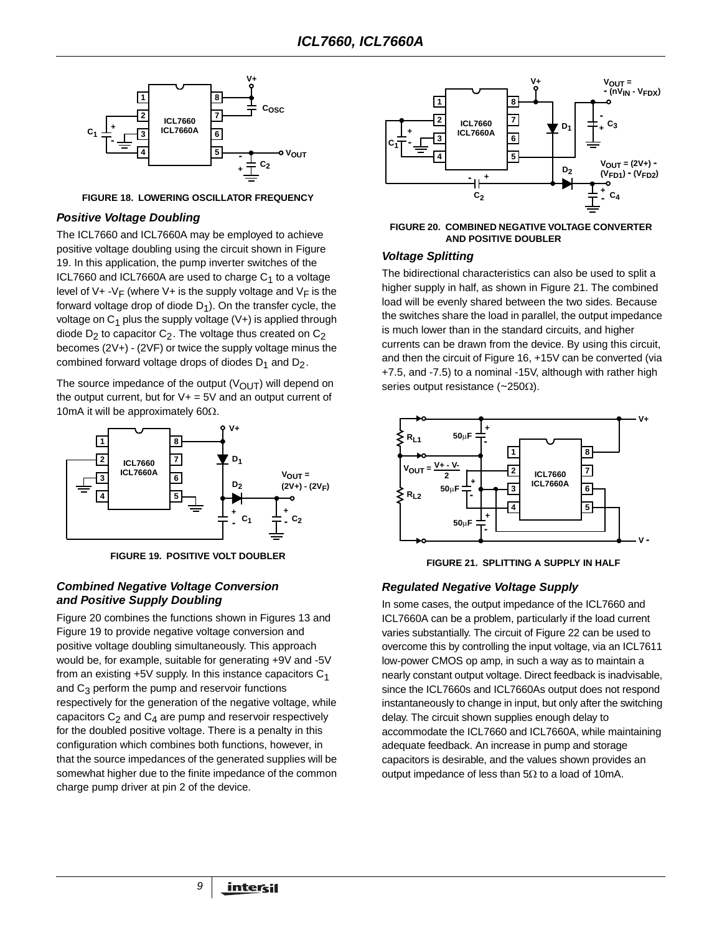

**FIGURE 18. LOWERING OSCILLATOR FREQUENCY**

## **Positive Voltage Doubling**

The ICL7660 and ICL7660A may be employed to achieve positive voltage doubling using the circuit shown in Figure 19. In this application, the pump inverter switches of the ICL7660 and ICL7660A are used to charge  $C_1$  to a voltage level of V+ -V<sub>F</sub> (where V+ is the supply voltage and V<sub>F</sub> is the forward voltage drop of diode  $D_1$ ). On the transfer cycle, the voltage on  $C_1$  plus the supply voltage  $(V+)$  is applied through diode  $D_2$  to capacitor  $C_2$ . The voltage thus created on  $C_2$ becomes (2V+) - (2VF) or twice the supply voltage minus the combined forward voltage drops of diodes  $D_1$  and  $D_2$ .

The source impedance of the output ( $V_{\text{OUT}}$ ) will depend on the output current, but for  $V+=5V$  and an output current of 10mA it will be approximately 60 $\Omega$ .



**FIGURE 19. POSITIVE VOLT DOUBLER**

## **Combined Negative Voltage Conversion and Positive Supply Doubling**

Figure 20 combines the functions shown in Figures 13 and Figure 19 to provide negative voltage conversion and positive voltage doubling simultaneously. This approach would be, for example, suitable for generating +9V and -5V from an existing  $+5V$  supply. In this instance capacitors  $C_1$ and  $C_3$  perform the pump and reservoir functions respectively for the generation of the negative voltage, while capacitors  $C_2$  and  $C_4$  are pump and reservoir respectively for the doubled positive voltage. There is a penalty in this configuration which combines both functions, however, in that the source impedances of the generated supplies will be somewhat higher due to the finite impedance of the common charge pump driver at pin 2 of the device.

9



#### **FIGURE 20. COMBINED NEGATIVE VOLTAGE CONVERTER AND POSITIVE DOUBLER**

## **Voltage Splitting**

The bidirectional characteristics can also be used to split a higher supply in half, as shown in Figure 21. The combined load will be evenly shared between the two sides. Because the switches share the load in parallel, the output impedance is much lower than in the standard circuits, and higher currents can be drawn from the device. By using this circuit, and then the circuit of Figure 16, +15V can be converted (via +7.5, and -7.5) to a nominal -15V, although with rather high series output resistance (~250Ω).



**FIGURE 21. SPLITTING A SUPPLY IN HALF**

## **Regulated Negative Voltage Supply**

In some cases, the output impedance of the ICL7660 and ICL7660A can be a problem, particularly if the load current varies substantially. The circuit of Figure 22 can be used to overcome this by controlling the input voltage, via an ICL7611 low-power CMOS op amp, in such a way as to maintain a nearly constant output voltage. Direct feedback is inadvisable, since the ICL7660s and ICL7660As output does not respond instantaneously to change in input, but only after the switching delay. The circuit shown supplies enough delay to accommodate the ICL7660 and ICL7660A, while maintaining adequate feedback. An increase in pump and storage capacitors is desirable, and the values shown provides an output impedance of less than  $5\Omega$  to a load of 10mA.